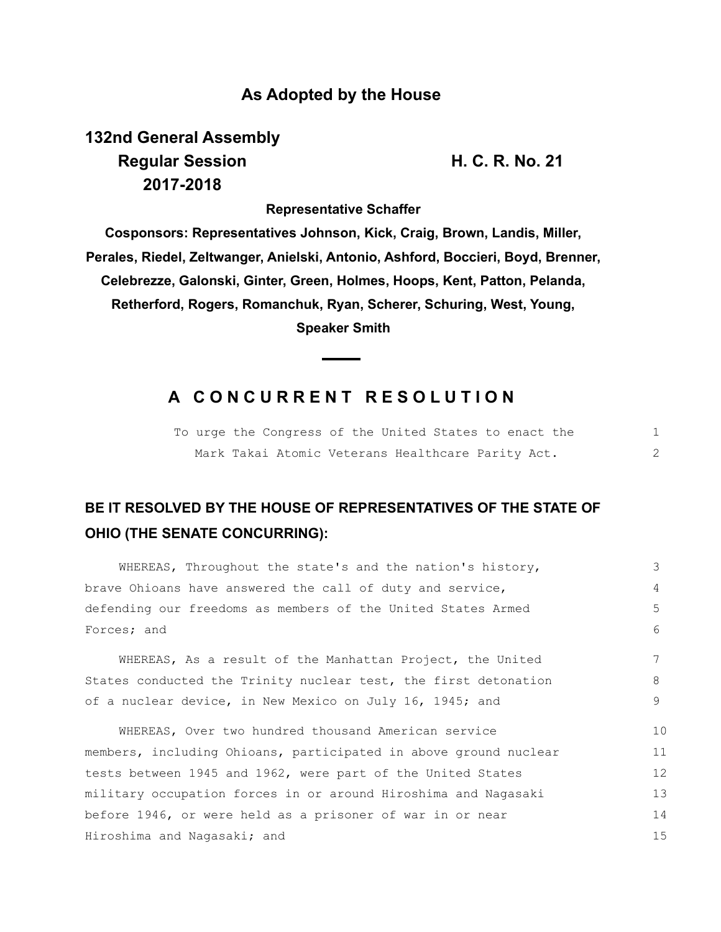### **As Adopted by the House**

**132nd General Assembly Regular Session H. C. R. No. 21 2017-2018**

**Representative Schaffer**

**Cosponsors: Representatives Johnson, Kick, Craig, Brown, Landis, Miller, Perales, Riedel, Zeltwanger, Anielski, Antonio, Ashford, Boccieri, Boyd, Brenner, Celebrezze, Galonski, Ginter, Green, Holmes, Hoops, Kent, Patton, Pelanda, Retherford, Rogers, Romanchuk, Ryan, Scherer, Schuring, West, Young, Speaker Smith**

## **A C O N C U R R E N T R E S O L U T I O N**

|  | To urge the Congress of the United States to enact the |  |
|--|--------------------------------------------------------|--|
|  | Mark Takai Atomic Veterans Healthcare Parity Act.      |  |

# **BE IT RESOLVED BY THE HOUSE OF REPRESENTATIVES OF THE STATE OF OHIO (THE SENATE CONCURRING):**

| WHEREAS, Throughout the state's and the nation's history,        | 3           |  |
|------------------------------------------------------------------|-------------|--|
| brave Ohioans have answered the call of duty and service,        | 4           |  |
| defending our freedoms as members of the United States Armed     | 5           |  |
| Forces; and                                                      | $6^{\circ}$ |  |
| WHEREAS, As a result of the Manhattan Project, the United        | 7           |  |
| States conducted the Trinity nuclear test, the first detonation  | 8           |  |
| of a nuclear device, in New Mexico on July 16, 1945; and         | 9           |  |
| WHEREAS, Over two hundred thousand American service              | 10          |  |
| members, including Ohioans, participated in above ground nuclear | 11          |  |
| tests between 1945 and 1962, were part of the United States      | 12          |  |
| military occupation forces in or around Hiroshima and Nagasaki   | 13          |  |
| before 1946, or were held as a prisoner of war in or near        |             |  |
| Hiroshima and Nagasaki; and                                      |             |  |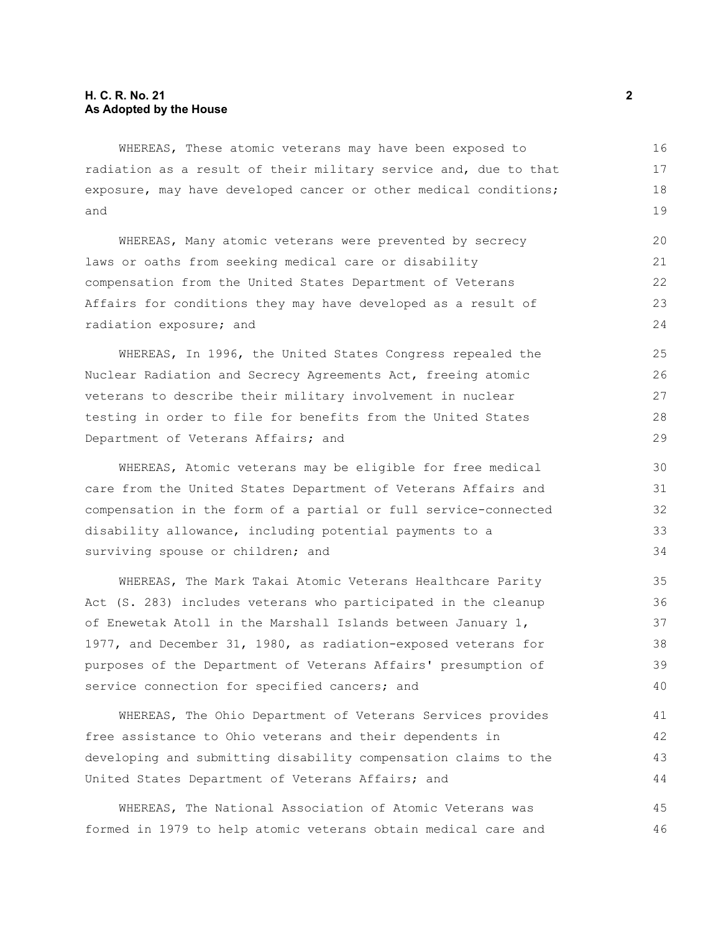#### **H. C. R. No. 21 2 As Adopted by the House**

WHEREAS, These atomic veterans may have been exposed to radiation as a result of their military service and, due to that exposure, may have developed cancer or other medical conditions; and

WHEREAS, Many atomic veterans were prevented by secrecy laws or oaths from seeking medical care or disability compensation from the United States Department of Veterans Affairs for conditions they may have developed as a result of radiation exposure; and

WHEREAS, In 1996, the United States Congress repealed the Nuclear Radiation and Secrecy Agreements Act, freeing atomic veterans to describe their military involvement in nuclear testing in order to file for benefits from the United States Department of Veterans Affairs; and

WHEREAS, Atomic veterans may be eligible for free medical care from the United States Department of Veterans Affairs and compensation in the form of a partial or full service-connected disability allowance, including potential payments to a surviving spouse or children; and

WHEREAS, The Mark Takai Atomic Veterans Healthcare Parity Act (S. 283) includes veterans who participated in the cleanup of Enewetak Atoll in the Marshall Islands between January 1, 1977, and December 31, 1980, as radiation-exposed veterans for purposes of the Department of Veterans Affairs' presumption of service connection for specified cancers; and

WHEREAS, The Ohio Department of Veterans Services provides free assistance to Ohio veterans and their dependents in developing and submitting disability compensation claims to the United States Department of Veterans Affairs; and

WHEREAS, The National Association of Atomic Veterans was formed in 1979 to help atomic veterans obtain medical care and 45 46